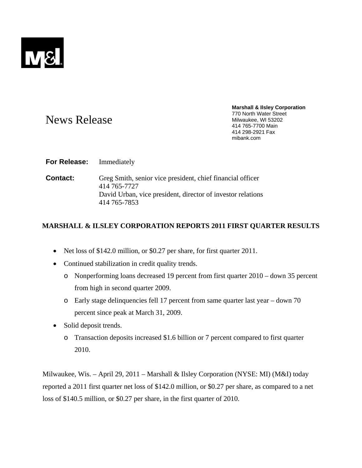

# News Release

**Marshall & Ilsley Corporation**  770 North Water Street Milwaukee, WI 53202 414 765-7700 Main 414 298-2921 Fax mibank.com

# **For Release:** Immediately

**Contact:** Greg Smith, senior vice president, chief financial officer 414 765-7727 David Urban, vice president, director of investor relations 414 765-7853

# **MARSHALL & ILSLEY CORPORATION REPORTS 2011 FIRST QUARTER RESULTS**

- Net loss of \$142.0 million, or \$0.27 per share, for first quarter 2011.
- Continued stabilization in credit quality trends.
	- o Nonperforming loans decreased 19 percent from first quarter 2010 down 35 percent from high in second quarter 2009.
	- o Early stage delinquencies fell 17 percent from same quarter last year down 70 percent since peak at March 31, 2009.
- Solid deposit trends.
	- o Transaction deposits increased \$1.6 billion or 7 percent compared to first quarter 2010.

Milwaukee, Wis. – April 29, 2011 – Marshall & Ilsley Corporation (NYSE: MI) (M&I) today reported a 2011 first quarter net loss of \$142.0 million, or \$0.27 per share, as compared to a net loss of \$140.5 million, or \$0.27 per share, in the first quarter of 2010.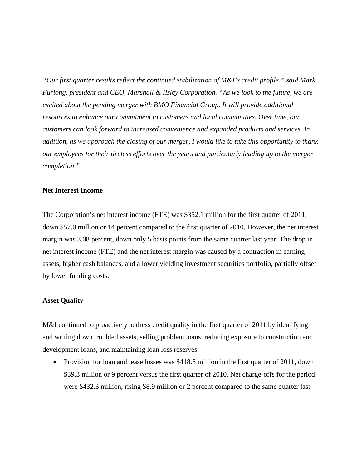*"Our first quarter results reflect the continued stabilization of M&I's credit profile," said Mark Furlong, president and CEO, Marshall & Ilsley Corporation. "As we look to the future, we are excited about the pending merger with BMO Financial Group. It will provide additional resources to enhance our commitment to customers and local communities. Over time, our customers can look forward to increased convenience and expanded products and services. In addition, as we approach the closing of our merger, I would like to take this opportunity to thank our employees for their tireless efforts over the years and particularly leading up to the merger completion."* 

## **Net Interest Income**

The Corporation's net interest income (FTE) was \$352.1 million for the first quarter of 2011, down \$57.0 million or 14 percent compared to the first quarter of 2010. However, the net interest margin was 3.08 percent, down only 5 basis points from the same quarter last year. The drop in net interest income (FTE) and the net interest margin was caused by a contraction in earning assets, higher cash balances, and a lower yielding investment securities portfolio, partially offset by lower funding costs.

## **Asset Quality**

M&I continued to proactively address credit quality in the first quarter of 2011 by identifying and writing down troubled assets, selling problem loans, reducing exposure to construction and development loans, and maintaining loan loss reserves.

• Provision for loan and lease losses was \$418.8 million in the first quarter of 2011, down \$39.3 million or 9 percent versus the first quarter of 2010. Net charge-offs for the period were \$432.3 million, rising \$8.9 million or 2 percent compared to the same quarter last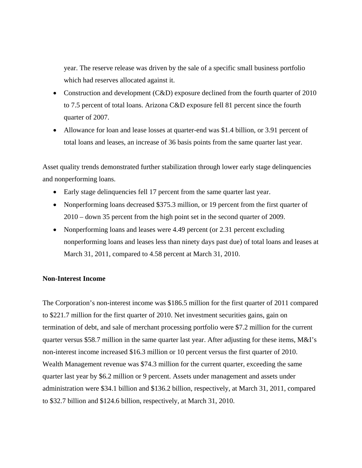year. The reserve release was driven by the sale of a specific small business portfolio which had reserves allocated against it.

- Construction and development (C&D) exposure declined from the fourth quarter of 2010 to 7.5 percent of total loans. Arizona C&D exposure fell 81 percent since the fourth quarter of 2007.
- Allowance for loan and lease losses at quarter-end was \$1.4 billion, or 3.91 percent of total loans and leases, an increase of 36 basis points from the same quarter last year.

Asset quality trends demonstrated further stabilization through lower early stage delinquencies and nonperforming loans.

- Early stage delinquencies fell 17 percent from the same quarter last year.
- Nonperforming loans decreased \$375.3 million, or 19 percent from the first quarter of 2010 – down 35 percent from the high point set in the second quarter of 2009.
- Nonperforming loans and leases were 4.49 percent (or 2.31 percent excluding nonperforming loans and leases less than ninety days past due) of total loans and leases at March 31, 2011, compared to 4.58 percent at March 31, 2010.

#### **Non-Interest Income**

The Corporation's non-interest income was \$186.5 million for the first quarter of 2011 compared to \$221.7 million for the first quarter of 2010. Net investment securities gains, gain on termination of debt, and sale of merchant processing portfolio were \$7.2 million for the current quarter versus \$58.7 million in the same quarter last year. After adjusting for these items, M&I's non-interest income increased \$16.3 million or 10 percent versus the first quarter of 2010. Wealth Management revenue was \$74.3 million for the current quarter, exceeding the same quarter last year by \$6.2 million or 9 percent. Assets under management and assets under administration were \$34.1 billion and \$136.2 billion, respectively, at March 31, 2011, compared to \$32.7 billion and \$124.6 billion, respectively, at March 31, 2010.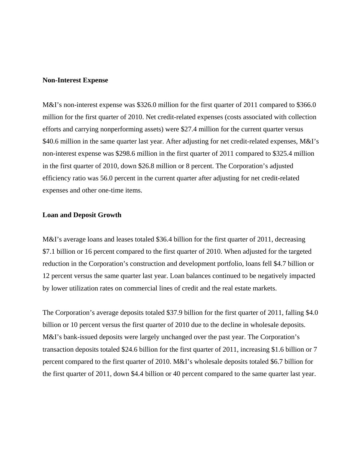#### **Non-Interest Expense**

M&I's non-interest expense was \$326.0 million for the first quarter of 2011 compared to \$366.0 million for the first quarter of 2010. Net credit-related expenses (costs associated with collection efforts and carrying nonperforming assets) were \$27.4 million for the current quarter versus \$40.6 million in the same quarter last year. After adjusting for net credit-related expenses, M&I's non-interest expense was \$298.6 million in the first quarter of 2011 compared to \$325.4 million in the first quarter of 2010, down \$26.8 million or 8 percent. The Corporation's adjusted efficiency ratio was 56.0 percent in the current quarter after adjusting for net credit-related expenses and other one-time items.

## **Loan and Deposit Growth**

M&I's average loans and leases totaled \$36.4 billion for the first quarter of 2011, decreasing \$7.1 billion or 16 percent compared to the first quarter of 2010. When adjusted for the targeted reduction in the Corporation's construction and development portfolio, loans fell \$4.7 billion or 12 percent versus the same quarter last year. Loan balances continued to be negatively impacted by lower utilization rates on commercial lines of credit and the real estate markets.

The Corporation's average deposits totaled \$37.9 billion for the first quarter of 2011, falling \$4.0 billion or 10 percent versus the first quarter of 2010 due to the decline in wholesale deposits. M&I's bank-issued deposits were largely unchanged over the past year. The Corporation's transaction deposits totaled \$24.6 billion for the first quarter of 2011, increasing \$1.6 billion or 7 percent compared to the first quarter of 2010. M&I's wholesale deposits totaled \$6.7 billion for the first quarter of 2011, down \$4.4 billion or 40 percent compared to the same quarter last year.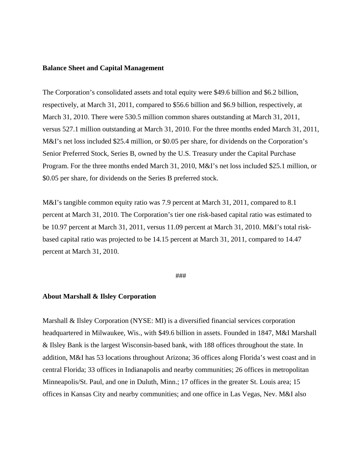#### **Balance Sheet and Capital Management**

The Corporation's consolidated assets and total equity were \$49.6 billion and \$6.2 billion, respectively, at March 31, 2011, compared to \$56.6 billion and \$6.9 billion, respectively, at March 31, 2010. There were 530.5 million common shares outstanding at March 31, 2011, versus 527.1 million outstanding at March 31, 2010. For the three months ended March 31, 2011, M&I's net loss included \$25.4 million, or \$0.05 per share, for dividends on the Corporation's Senior Preferred Stock, Series B, owned by the U.S. Treasury under the Capital Purchase Program. For the three months ended March 31, 2010, M&I's net loss included \$25.1 million, or \$0.05 per share, for dividends on the Series B preferred stock.

M&I's tangible common equity ratio was 7.9 percent at March 31, 2011, compared to 8.1 percent at March 31, 2010. The Corporation's tier one risk-based capital ratio was estimated to be 10.97 percent at March 31, 2011, versus 11.09 percent at March 31, 2010. M&I's total riskbased capital ratio was projected to be 14.15 percent at March 31, 2011, compared to 14.47 percent at March 31, 2010.

#### ###

#### **About Marshall & Ilsley Corporation**

Marshall & Ilsley Corporation (NYSE: MI) is a diversified financial services corporation headquartered in Milwaukee, Wis., with \$49.6 billion in assets. Founded in 1847, M&I Marshall & Ilsley Bank is the largest Wisconsin-based bank, with 188 offices throughout the state. In addition, M&I has 53 locations throughout Arizona; 36 offices along Florida's west coast and in central Florida; 33 offices in Indianapolis and nearby communities; 26 offices in metropolitan Minneapolis/St. Paul, and one in Duluth, Minn.; 17 offices in the greater St. Louis area; 15 offices in Kansas City and nearby communities; and one office in Las Vegas, Nev. M&I also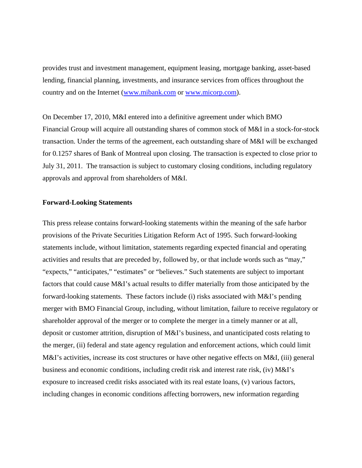provides trust and investment management, equipment leasing, mortgage banking, asset-based lending, financial planning, investments, and insurance services from offices throughout the country and on the Internet (www.mibank.com or www.micorp.com).

On December 17, 2010, M&I entered into a definitive agreement under which BMO Financial Group will acquire all outstanding shares of common stock of M&I in a stock-for-stock transaction. Under the terms of the agreement, each outstanding share of M&I will be exchanged for 0.1257 shares of Bank of Montreal upon closing. The transaction is expected to close prior to July 31, 2011. The transaction is subject to customary closing conditions, including regulatory approvals and approval from shareholders of M&I.

#### **Forward-Looking Statements**

This press release contains forward-looking statements within the meaning of the safe harbor provisions of the Private Securities Litigation Reform Act of 1995. Such forward-looking statements include, without limitation, statements regarding expected financial and operating activities and results that are preceded by, followed by, or that include words such as "may," "expects," "anticipates," "estimates" or "believes." Such statements are subject to important factors that could cause M&I's actual results to differ materially from those anticipated by the forward-looking statements. These factors include (i) risks associated with M&I's pending merger with BMO Financial Group, including, without limitation, failure to receive regulatory or shareholder approval of the merger or to complete the merger in a timely manner or at all, deposit or customer attrition, disruption of M&I's business, and unanticipated costs relating to the merger, (ii) federal and state agency regulation and enforcement actions, which could limit M&I's activities, increase its cost structures or have other negative effects on M&I, (iii) general business and economic conditions, including credit risk and interest rate risk, (iv) M&I's exposure to increased credit risks associated with its real estate loans, (v) various factors, including changes in economic conditions affecting borrowers, new information regarding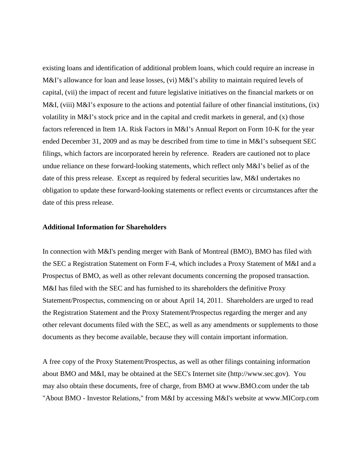existing loans and identification of additional problem loans, which could require an increase in M&I's allowance for loan and lease losses, (vi) M&I's ability to maintain required levels of capital, (vii) the impact of recent and future legislative initiatives on the financial markets or on M&I, (viii) M&I's exposure to the actions and potential failure of other financial institutions, (ix) volatility in M&I's stock price and in the capital and credit markets in general, and (x) those factors referenced in Item 1A. Risk Factors in M&I's Annual Report on Form 10-K for the year ended December 31, 2009 and as may be described from time to time in M&I's subsequent SEC filings, which factors are incorporated herein by reference. Readers are cautioned not to place undue reliance on these forward-looking statements, which reflect only M&I's belief as of the date of this press release. Except as required by federal securities law, M&I undertakes no obligation to update these forward-looking statements or reflect events or circumstances after the date of this press release.

## **Additional Information for Shareholders**

In connection with M&I's pending merger with Bank of Montreal (BMO), BMO has filed with the SEC a Registration Statement on Form F-4, which includes a Proxy Statement of M&I and a Prospectus of BMO, as well as other relevant documents concerning the proposed transaction. M&I has filed with the SEC and has furnished to its shareholders the definitive Proxy Statement/Prospectus, commencing on or about April 14, 2011. Shareholders are urged to read the Registration Statement and the Proxy Statement/Prospectus regarding the merger and any other relevant documents filed with the SEC, as well as any amendments or supplements to those documents as they become available, because they will contain important information.

A free copy of the Proxy Statement/Prospectus, as well as other filings containing information about BMO and M&I, may be obtained at the SEC's Internet site (http://www.sec.gov). You may also obtain these documents, free of charge, from BMO at www.BMO.com under the tab "About BMO - Investor Relations," from M&I by accessing M&I's website at www.MICorp.com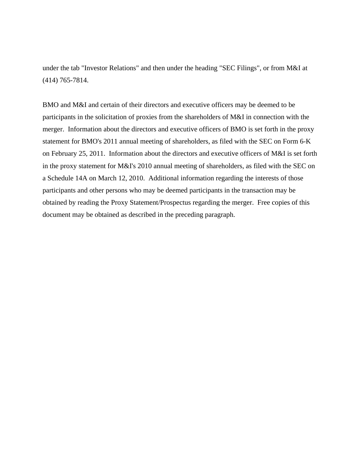under the tab "Investor Relations" and then under the heading "SEC Filings", or from M&I at (414) 765-7814.

BMO and M&I and certain of their directors and executive officers may be deemed to be participants in the solicitation of proxies from the shareholders of M&I in connection with the merger. Information about the directors and executive officers of BMO is set forth in the proxy statement for BMO's 2011 annual meeting of shareholders, as filed with the SEC on Form 6-K on February 25, 2011. Information about the directors and executive officers of M&I is set forth in the proxy statement for M&I's 2010 annual meeting of shareholders, as filed with the SEC on a Schedule 14A on March 12, 2010. Additional information regarding the interests of those participants and other persons who may be deemed participants in the transaction may be obtained by reading the Proxy Statement/Prospectus regarding the merger. Free copies of this document may be obtained as described in the preceding paragraph.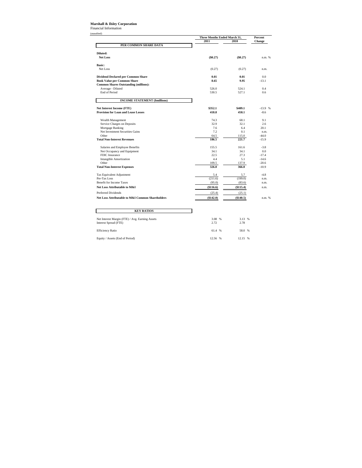#### **Marshall & Ilsley Corporation**

Financial Information (unaudited)

|                                                                |           | Three Months Ended March 31, |               |
|----------------------------------------------------------------|-----------|------------------------------|---------------|
|                                                                | 2011      | 2010                         | <b>Change</b> |
| PER COMMON SHARE DATA                                          |           |                              |               |
| Diluted:                                                       |           |                              |               |
| Net Loss                                                       | (\$0.27)  | (\$0.27)                     | n.m. %        |
| <b>Basic:</b>                                                  |           |                              |               |
| Net Loss                                                       | (0.27)    | (0.27)                       | n.m.          |
| <b>Dividend Declared per Common Share</b>                      | 0.01      | 0.01                         | 0.0           |
| <b>Book Value per Common Share</b>                             | 8.65      | 9.95                         | $-13.1$       |
| <b>Common Shares Outstanding (millions):</b>                   |           |                              |               |
| Average - Diluted                                              | 526.0     | 524.1                        | 0.4           |
| End of Period                                                  | 530.5     | 527.1                        | 0.6           |
| <b>INCOME STATEMENT (\$millions)</b>                           |           |                              |               |
| <b>Net Interest Income (FTE)</b>                               | \$352.1   | \$409.1                      | $-13.9$ %     |
| <b>Provision for Loan and Lease Losses</b>                     | 418.8     | 458.1                        | $-8.6$        |
| Wealth Management                                              | 74.3      | 68.1                         | 9.1           |
| Service Charges on Deposits                                    | 32.9      | 32.1                         | 2.6           |
| Mortgage Banking                                               | 7.6       | 6.4                          | 20.1          |
| Net Investment Securities Gains                                | 7.2       | 0.1                          | n.m.          |
| Other                                                          | 64.5      | 115.0                        | $-44.0$       |
| <b>Total Non-Interest Revenues</b>                             | 186.5     | 221.7                        | $-15.9$       |
| Salaries and Employee Benefits                                 | 155.5     | 161.6                        | $-3.8$        |
| Net Occupancy and Equipment                                    | 34.1      | 34.1                         | 0.0           |
| FDIC Insurance                                                 | 22.5      | 27.3                         | $-17.4$       |
| <b>Intangible Amortization</b>                                 | 4.4       | 5.1                          | $-14.6$       |
| Other                                                          | 109.5     | 137.9                        | $-20.6$       |
| <b>Total Non-Interest Expenses</b>                             | 326.0     | 366.0                        | $-10.9$       |
| Tax Equivalent Adjustment                                      | 5.4       | 5.7                          | $-4.8$        |
| Pre-Tax Loss                                                   | (211.6)   | (199.0)                      | n.m.          |
| <b>Benefit for Income Taxes</b>                                | (95.0)    | (83.6)                       | n.m.          |
|                                                                | (\$116.6) | (\$115.4)                    | n.m.          |
|                                                                |           |                              |               |
| <b>Net Loss Attributable to M&amp;I</b><br>Preferred Dividends | (25.4)    | (25.1)                       |               |

| <b>KEY RATIOS</b>                                                        |                |                |  |
|--------------------------------------------------------------------------|----------------|----------------|--|
| Net Interest Margin (FTE) / Avg. Earning Assets<br>Interest Spread (FTE) | 3.08 %<br>2.72 | 3.13 %<br>2.78 |  |
| <b>Efficiency Ratio</b>                                                  | 61.4 %         | 58.0 %         |  |
| Equity / Assets (End of Period)                                          | 12.56 %        | 12.15 %        |  |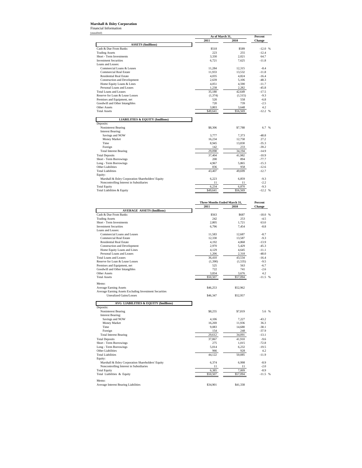# **Marshall & Ilsley Corporation** Financial Information

 $($ unau $)$ 

| udited)                                                      | As of March 31               |                   | Percent             |  |
|--------------------------------------------------------------|------------------------------|-------------------|---------------------|--|
|                                                              | 2011                         | 2010              |                     |  |
| <b>ASSETS</b> (\$millions)                                   |                              |                   |                     |  |
| Cash & Due From Banks                                        | \$518                        | \$589             | $-12.0%$            |  |
| <b>Trading Assets</b>                                        | 223                          | 255               | $-12.4$             |  |
| Short - Term Investments                                     | 3,330                        | 2,021             | 64.7<br>$-11.8$     |  |
| <b>Investment Securities</b><br>Loans and Leases:            | 6,721                        | 7,625             |                     |  |
| Commercial Loans & Leases                                    | 11,284                       | 12,315            | $-8.4$              |  |
| <b>Commercial Real Estate</b>                                | 11,933                       | 13,532            | $-11.8$             |  |
| <b>Residential Real Estate</b>                               | 4,035                        | 4,824             | $-16.4$             |  |
| Construction and Development                                 | 2,639                        | 5,106             | $-48.3$             |  |
| Home Equity Loans & Lines                                    | 4,051                        | 4,590             | $-11.7$             |  |
| Personal Loans and Leases                                    | 1,238                        | 2,282             | $-45.8$             |  |
| <b>Total Loans and Leases</b>                                | 35,180                       | 42,649            | $-17.5$             |  |
| Reserve for Loan & Lease Losses                              | (1, 374)                     | (1, 515)          | $-9.3$              |  |
| Premises and Equipment, net                                  | 520                          | 558               | $-6.8$              |  |
| Goodwill and Other Intangibles                               | 720                          | 739               | $-2.5$              |  |
| <b>Other Assets</b>                                          | 3,803                        | 3,648             | 4.2                 |  |
| <b>Total Assets</b>                                          | \$49,641                     | \$56,569          | $-12.2$ %           |  |
|                                                              |                              |                   |                     |  |
| <b>LIABILITIES &amp; EQUITY (\$millions)</b>                 |                              |                   |                     |  |
| Deposits:                                                    | \$8,306                      | \$7,788           | 6.7 %               |  |
| Noninterest Bearing<br><b>Interest Bearing:</b>              |                              |                   |                     |  |
| Savings and NOW                                              | 3,777                        | 7,373             | $-48.8$             |  |
| Money Market                                                 | 16,234                       | 12,758            | 27.2                |  |
| Time                                                         | 8,945                        | 13,830            | $-35.3$             |  |
| Foreign                                                      | 142                          | 233               | $-39.2$             |  |
| <b>Total Interest Bearing</b>                                | 29,098                       | 34,194            | $-14.9$             |  |
| <b>Total Deposits</b>                                        | 37,404                       | 41,982            | $-10.9$             |  |
| Short - Term Borrowings                                      | 200                          | 894               | $-77.7$             |  |
| Long - Term Borrowings                                       | 4,967                        | 5,865             | $-15.3$             |  |
| Other Liabilities                                            | 836                          | 958               | $-12.6$             |  |
| <b>Total Liabilities</b>                                     | 43,407                       | 49,699            | $-12.7$             |  |
| Equity:                                                      |                              |                   |                     |  |
| Marshall & Ilsley Corporation Shareholders' Equity           | 6,223                        | 6,859             | $-9.3$              |  |
| Noncontrolling Interest in Subsidiaries                      | 11                           | 11                | $-2.2$              |  |
| <b>Total Equity</b>                                          | 6,234                        | 6,870             | $-9.3$              |  |
| Total Liabilities & Equity                                   | \$49,641                     | \$56,569          | $-12.2$ %           |  |
|                                                              |                              |                   |                     |  |
|                                                              |                              |                   |                     |  |
|                                                              | Three Months Ended March 31, |                   | Percent             |  |
|                                                              | 2011                         | 2010              | Change              |  |
| <b>AVERAGE ASSETS (\$millions)</b>                           |                              |                   |                     |  |
| Cash & Due From Banks                                        | \$563                        | \$687             | $-18.0%$            |  |
| <b>Trading Assets</b>                                        | 242                          | 253               | $-4.5$              |  |
| Short - Term Investments                                     | 2,805                        | 1,721             | 63.0                |  |
| <b>Investment Securities</b>                                 | 6,796                        | 7,454             | $-8.8$              |  |
| Loans and Leases:                                            |                              |                   |                     |  |
| Commercial Loans and Leases<br><b>Commercial Real Estate</b> | 11,583<br>12,330             | 12,687<br>13,587  | $-8.7$<br>$-9.3$    |  |
| <b>Residential Real Estate</b>                               | 4,192                        | 4,868             | $-13.9$             |  |
| Construction and Development                                 | 2,970                        | 5,429             | $-45.3$             |  |
| Home Equity Loans and Lines                                  | 4,129                        | 4,645             | $-11.1$             |  |
| Personal Loans and Leases                                    | 1,206                        | 2,318             | $-48.0$             |  |
| <b>Total Loans and Leases</b>                                | 36,410                       | 43,534            | $-16.4$             |  |
| Reserve for Loan & Lease Losses                              | (1,390)                      | (1, 535)          | $-9.5$              |  |
| Premises and Equipment, net                                  |                              |                   |                     |  |
|                                                              |                              |                   |                     |  |
| Goodwill and Other Intangibles                               | 525<br>722                   | 563<br>741        | $-6.7$<br>$-2.6$    |  |
| <b>Other Assets</b>                                          | 3,834                        | 3,676             | 4.2                 |  |
| <b>Total Assets</b>                                          | \$50,507                     | \$57,094          | $-11.5%$            |  |
|                                                              |                              |                   |                     |  |
| Memo:                                                        |                              |                   |                     |  |
| <b>Average Earning Assets</b>                                | \$46,253                     | \$52,962          |                     |  |
| Average Earning Assets Excluding Investment Securities       |                              |                   |                     |  |
| Unrealized Gains/Losses                                      | \$46,347                     | \$52,957          |                     |  |
|                                                              |                              |                   |                     |  |
| AVG LIABILITIES & EQUITY (\$millions)                        |                              |                   |                     |  |
| Deposits:                                                    |                              |                   |                     |  |
| Noninterest Bearing                                          | \$8,255                      | \$7,819           | 5.6 %               |  |
| <b>Interest Bearing:</b>                                     |                              |                   |                     |  |
| Savings and NOW                                              | 4,106                        | 7,227             | $-43.2$<br>36.3     |  |
| Money Market<br>Time                                         | 16,269<br>9,083              | 11,936<br>14,680  | $-38.1$             |  |
| Foreign                                                      | 154                          | 248               | $-37.9$             |  |
| <b>Total Interest Bearing</b>                                | 29.612                       | 34,091            | $-13.1$             |  |
| <b>Total Deposits</b>                                        | 37,867                       | 41,910            | $-9.6$              |  |
| Short - Term Borrowings                                      | 275                          |                   | $-72.8$             |  |
| Long - Term Borrowings                                       | 5,014                        | 1,015<br>6,232    | $-19.5$             |  |
| Other Liabilities                                            | 966                          | 928               | 4.2                 |  |
| <b>Total Liabilities</b>                                     | 44,122                       | 50,085            | $-11.9$             |  |
| Equity:                                                      |                              |                   |                     |  |
| Marshall & Ilsley Corporation Shareholders' Equity           | 6,374                        | 6,998             | $-8.9$              |  |
| Noncontrolling Interest in Subsidiaries                      | 11                           | 11                | $-2.0$              |  |
| <b>Total Equity</b><br>Total Liabilities & Equity            | 6,385<br>\$50,507            | 7,009<br>\$57,094 | $-8.9$<br>$-11.5$ % |  |

Memo:<br>Average Interest Bearing Liabilities \$41,338 (\$24,901 \$41,338)